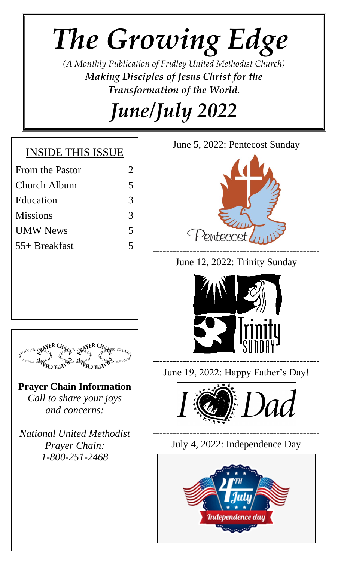# *The Growing Edge*

*(A Monthly Publication of Fridley United Methodist Church) Making Disciples of Jesus Christ for the Transformation of the World.*

*June/July 2022*

### INSIDE THIS ISSUE

- From the Pastor 2
- Church Album 5
- Education 3
- Missions 3
- UMW News 5
- 55+ Breakfast 5





June 12, 2022: Trinity Sunday





**Prayer Chain Information** *Call to share your joys and concerns:*

*National United Methodist Prayer Chain: 1-800-251-2468*

June 19, 2022: Happy Father's Day!



July 4, 2022: Independence Day

--------------------------------------------------

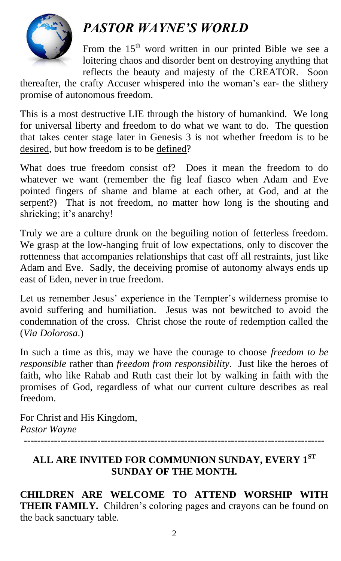

### *PASTOR WAYNE'S WORLD*

From the  $15<sup>th</sup>$  word written in our printed Bible we see a loitering chaos and disorder bent on destroying anything that reflects the beauty and majesty of the CREATOR. Soon

thereafter, the crafty Accuser whispered into the woman's ear- the slithery promise of autonomous freedom.

This is a most destructive LIE through the history of humankind. We long for universal liberty and freedom to do what we want to do. The question that takes center stage later in Genesis 3 is not whether freedom is to be desired, but how freedom is to be defined?

What does true freedom consist of? Does it mean the freedom to do whatever we want (remember the fig leaf fiasco when Adam and Eve pointed fingers of shame and blame at each other, at God, and at the serpent?) That is not freedom, no matter how long is the shouting and shrieking; it's anarchy!

Truly we are a culture drunk on the beguiling notion of fetterless freedom. We grasp at the low-hanging fruit of low expectations, only to discover the rottenness that accompanies relationships that cast off all restraints, just like Adam and Eve. Sadly, the deceiving promise of autonomy always ends up east of Eden, never in true freedom.

Let us remember Jesus' experience in the Tempter's wilderness promise to avoid suffering and humiliation. Jesus was not bewitched to avoid the condemnation of the cross. Christ chose the route of redemption called the (*Via Dolorosa*.)

In such a time as this, may we have the courage to choose *freedom to be responsible* rather than *freedom from responsibility*. Just like the heroes of faith, who like Rahab and Ruth cast their lot by walking in faith with the promises of God, regardless of what our current culture describes as real freedom.

For Christ and His Kingdom, *Pastor Wayne*

------------------------------------------------------------------------------------------

### **ALL ARE INVITED FOR COMMUNION SUNDAY, EVERY 1ST SUNDAY OF THE MONTH.**

**CHILDREN ARE WELCOME TO ATTEND WORSHIP WITH THEIR FAMILY.** Children's coloring pages and crayons can be found on the back sanctuary table.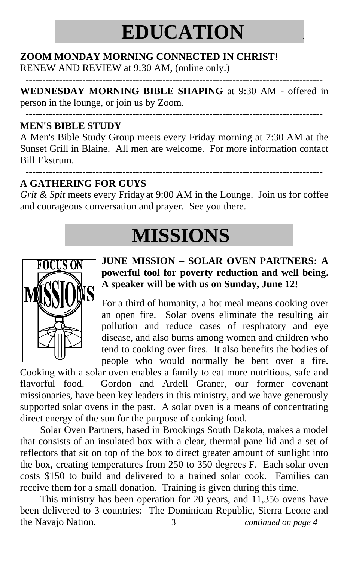## **EDUCATION .**

-----------------------------------------------------------------------------------------

### **ZOOM MONDAY MORNING CONNECTED IN CHRIST**!

RENEW AND REVIEW at 9:30 AM, (online only.)

**WEDNESDAY MORNING BIBLE SHAPING** at 9:30 AM - offered in person in the lounge, or join us by Zoom.

#### ----------------------------------------------------------------------------------------- **MEN'S BIBLE STUDY**

A Men's Bible Study Group meets every Friday morning at 7:30 AM at the Sunset Grill in Blaine. All men are welcome. For more information contact Bill Ekstrum.

#### ----------------------------------------------------------------------------------------- **A GATHERING FOR GUYS**

*Grit & Spit* meets every Friday at 9:00 AM in the Lounge. Join us for coffee and courageous conversation and prayer. See you there.

# **MISSIONS .**



### **JUNE MISSION – SOLAR OVEN PARTNERS: A powerful tool for poverty reduction and well being. A speaker will be with us on Sunday, June 12!**

For a third of humanity, a hot meal means cooking over an open fire. Solar ovens eliminate the resulting air pollution and reduce cases of respiratory and eye disease, and also burns among women and children who tend to cooking over fires. It also benefits the bodies of people who would normally be bent over a fire.

Cooking with a solar oven enables a family to eat more nutritious, safe and flavorful food. Gordon and Ardell Graner, our former covenant missionaries, have been key leaders in this ministry, and we have generously supported solar ovens in the past. A solar oven is a means of concentrating direct energy of the sun for the purpose of cooking food.

Solar Oven Partners, based in Brookings South Dakota, makes a model that consists of an insulated box with a clear, thermal pane lid and a set of reflectors that sit on top of the box to direct greater amount of sunlight into the box, creating temperatures from 250 to 350 degrees F. Each solar oven costs \$150 to build and delivered to a trained solar cook. Families can receive them for a small donation. Training is given during this time.

This ministry has been operation for 20 years, and 11,356 ovens have been delivered to 3 countries: The Dominican Republic, Sierra Leone and the Navajo Nation. 3 *continued on page 4*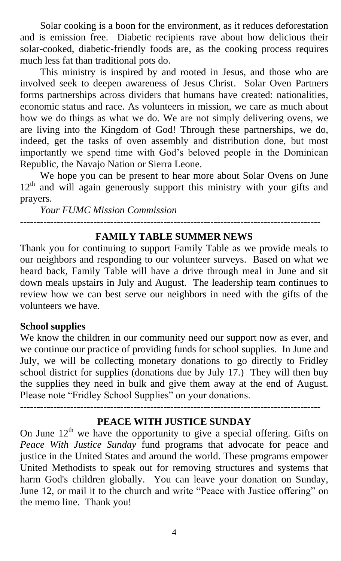Solar cooking is a boon for the environment, as it reduces deforestation and is emission free. Diabetic recipients rave about how delicious their solar-cooked, diabetic-friendly foods are, as the cooking process requires much less fat than traditional pots do.

This ministry is inspired by and rooted in Jesus, and those who are involved seek to deepen awareness of Jesus Christ. Solar Oven Partners forms partnerships across dividers that humans have created: nationalities, economic status and race. As volunteers in mission, we care as much about how we do things as what we do. We are not simply delivering ovens, we are living into the Kingdom of God! Through these partnerships, we do, indeed, get the tasks of oven assembly and distribution done, but most importantly we spend time with God's beloved people in the Dominican Republic, the Navajo Nation or Sierra Leone.

We hope you can be present to hear more about Solar Ovens on June 12<sup>th</sup> and will again generously support this ministry with your gifts and prayers.

*Your FUMC Mission Commission*

### **FAMILY TABLE SUMMER NEWS**

------------------------------------------------------------------------------------------

Thank you for continuing to support Family Table as we provide meals to our neighbors and responding to our volunteer surveys. Based on what we heard back, Family Table will have a drive through meal in June and sit down meals upstairs in July and August. The leadership team continues to review how we can best serve our neighbors in need with the gifts of the volunteers we have.

#### **School supplies**

We know the children in our community need our support now as ever, and we continue our practice of providing funds for school supplies. In June and July, we will be collecting monetary donations to go directly to Fridley school district for supplies (donations due by July 17.) They will then buy the supplies they need in bulk and give them away at the end of August. Please note "Fridley School Supplies" on your donations.

------------------------------------------------------------------------------------------

#### **PEACE WITH JUSTICE SUNDAY**

On June  $12<sup>th</sup>$  we have the opportunity to give a special offering. Gifts on *Peace With Justice Sunday* fund programs that advocate for peace and justice in the United States and around the world. These programs empower United Methodists to speak out for removing structures and systems that harm God's children globally. You can leave your donation on Sunday, June 12, or mail it to the church and write "Peace with Justice offering" on the memo line. Thank you!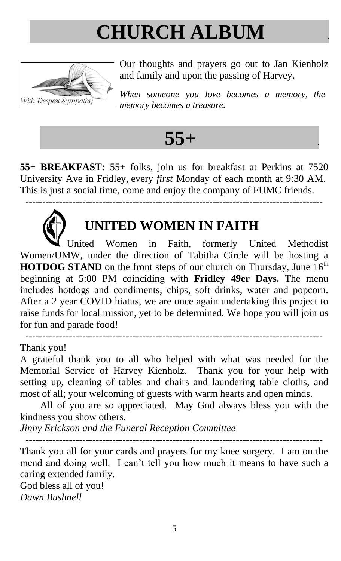# **CHURCH ALBUM .**



Our thoughts and prayers go out to Jan Kienholz and family and upon the passing of Harvey.

*When someone you love becomes a memory, the memory becomes a treasure.*

### **55+ .**

**55+ BREAKFAST:** 55+ folks, join us for breakfast at Perkins at 7520 University Ave in Fridley, every *first* Monday of each month at 9:30 AM. This is just a social time, come and enjoy the company of FUMC friends.

-----------------------------------------------------------------------------------------



### **UNITED WOMEN IN FAITH**

United Women in Faith, formerly United Methodist Women/UMW, under the direction of Tabitha Circle will be hosting a **HOTDOG STAND** on the front steps of our church on Thursday, June  $16<sup>th</sup>$ beginning at 5:00 PM coinciding with **Fridley 49er Days.** The menu includes hotdogs and condiments, chips, soft drinks, water and popcorn. After a 2 year COVID hiatus, we are once again undertaking this project to raise funds for local mission, yet to be determined. We hope you will join us for fun and parade food!

Thank you!

A grateful thank you to all who helped with what was needed for the Memorial Service of Harvey Kienholz. Thank you for your help with setting up, cleaning of tables and chairs and laundering table cloths, and most of all; your welcoming of guests with warm hearts and open minds.

-----------------------------------------------------------------------------------------

All of you are so appreciated. May God always bless you with the kindness you show others.

*Jinny Erickson and the Funeral Reception Committee*

----------------------------------------------------------------------------------------- Thank you all for your cards and prayers for my knee surgery. I am on the

mend and doing well. I can't tell you how much it means to have such a caring extended family.

God bless all of you! *Dawn Bushnell*